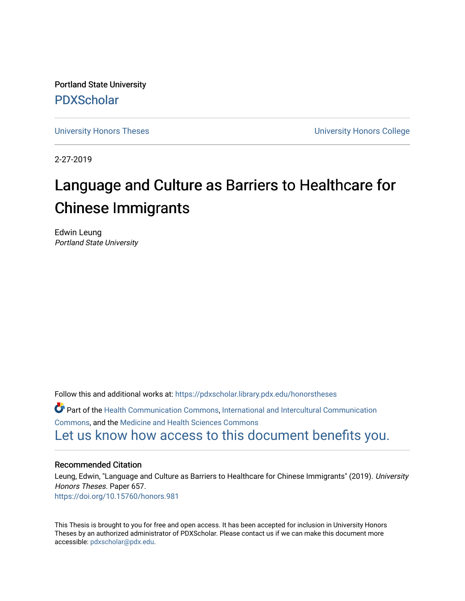Portland State University [PDXScholar](https://pdxscholar.library.pdx.edu/)

[University Honors Theses](https://pdxscholar.library.pdx.edu/honorstheses) [University Honors College](https://pdxscholar.library.pdx.edu/honors) 

2-27-2019

# Language and Culture as Barriers to Healthcare for Chinese Immigrants

Edwin Leung Portland State University

Follow this and additional works at: [https://pdxscholar.library.pdx.edu/honorstheses](https://pdxscholar.library.pdx.edu/honorstheses?utm_source=pdxscholar.library.pdx.edu%2Fhonorstheses%2F657&utm_medium=PDF&utm_campaign=PDFCoverPages)   $\bullet$  Part of the [Health Communication Commons](http://network.bepress.com/hgg/discipline/330?utm_source=pdxscholar.library.pdx.edu%2Fhonorstheses%2F657&utm_medium=PDF&utm_campaign=PDFCoverPages), [International and Intercultural Communication](http://network.bepress.com/hgg/discipline/331?utm_source=pdxscholar.library.pdx.edu%2Fhonorstheses%2F657&utm_medium=PDF&utm_campaign=PDFCoverPages) [Commons](http://network.bepress.com/hgg/discipline/331?utm_source=pdxscholar.library.pdx.edu%2Fhonorstheses%2F657&utm_medium=PDF&utm_campaign=PDFCoverPages), and the [Medicine and Health Sciences Commons](http://network.bepress.com/hgg/discipline/648?utm_source=pdxscholar.library.pdx.edu%2Fhonorstheses%2F657&utm_medium=PDF&utm_campaign=PDFCoverPages)  [Let us know how access to this document benefits you.](http://library.pdx.edu/services/pdxscholar-services/pdxscholar-feedback/) 

#### Recommended Citation

Leung, Edwin, "Language and Culture as Barriers to Healthcare for Chinese Immigrants" (2019). University Honors Theses. Paper 657. <https://doi.org/10.15760/honors.981>

This Thesis is brought to you for free and open access. It has been accepted for inclusion in University Honors Theses by an authorized administrator of PDXScholar. Please contact us if we can make this document more accessible: [pdxscholar@pdx.edu.](mailto:pdxscholar@pdx.edu)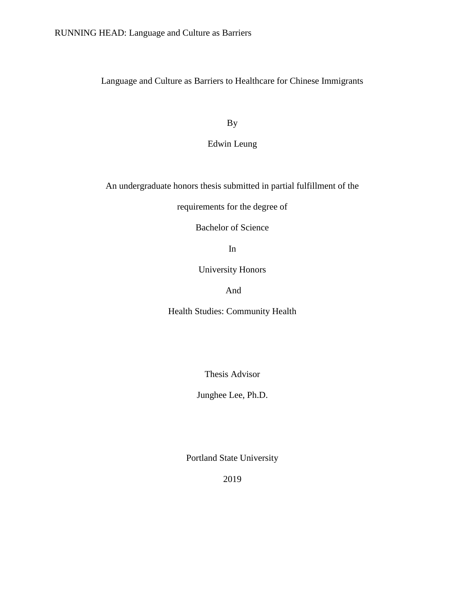Language and Culture as Barriers to Healthcare for Chinese Immigrants

By

Edwin Leung

An undergraduate honors thesis submitted in partial fulfillment of the

requirements for the degree of

Bachelor of Science

In

University Honors

And

Health Studies: Community Health

Thesis Advisor

Junghee Lee, Ph.D.

Portland State University

2019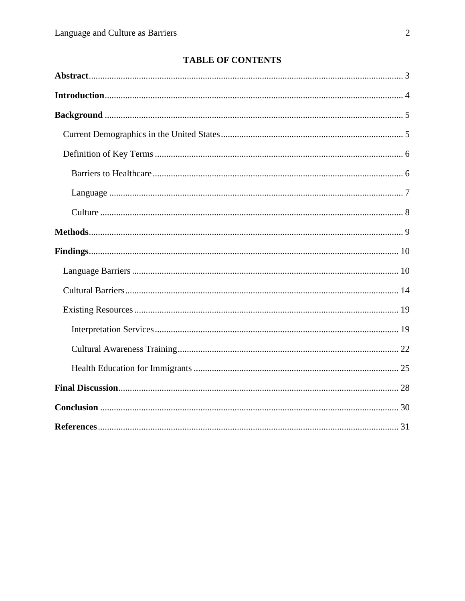### **TABLE OF CONTENTS**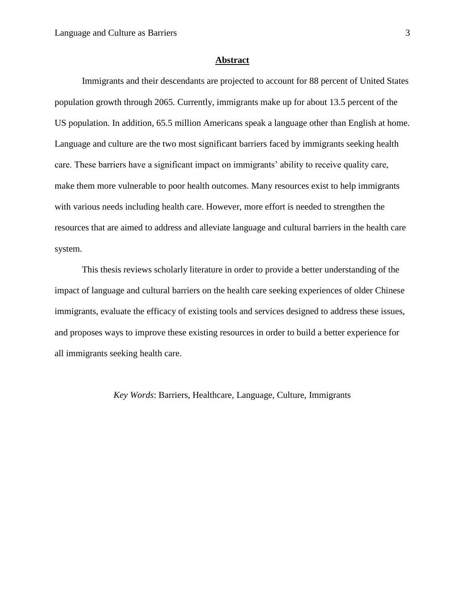#### **Abstract**

<span id="page-3-0"></span>Immigrants and their descendants are projected to account for 88 percent of United States population growth through 2065. Currently, immigrants make up for about 13.5 percent of the US population. In addition, 65.5 million Americans speak a language other than English at home. Language and culture are the two most significant barriers faced by immigrants seeking health care. These barriers have a significant impact on immigrants' ability to receive quality care, make them more vulnerable to poor health outcomes. Many resources exist to help immigrants with various needs including health care. However, more effort is needed to strengthen the resources that are aimed to address and alleviate language and cultural barriers in the health care system.

This thesis reviews scholarly literature in order to provide a better understanding of the impact of language and cultural barriers on the health care seeking experiences of older Chinese immigrants, evaluate the efficacy of existing tools and services designed to address these issues, and proposes ways to improve these existing resources in order to build a better experience for all immigrants seeking health care.

*Key Words*: Barriers, Healthcare, Language, Culture, Immigrants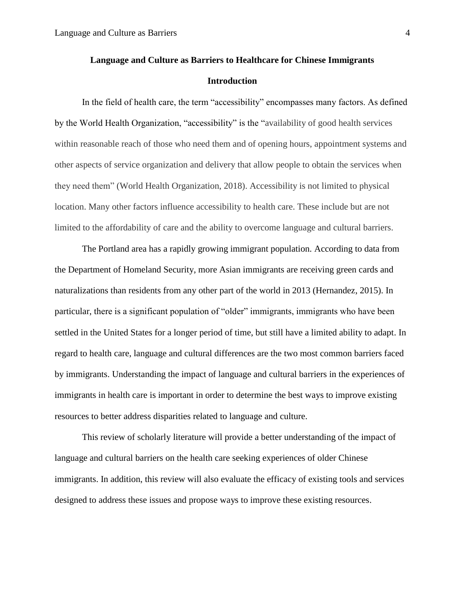## **Language and Culture as Barriers to Healthcare for Chinese Immigrants Introduction**

<span id="page-4-0"></span>In the field of health care, the term "accessibility" encompasses many factors. As defined by the World Health Organization, "accessibility" is the "availability of good health services within reasonable reach of those who need them and of opening hours, appointment systems and other aspects of service organization and delivery that allow people to obtain the services when they need them" (World Health Organization, 2018). Accessibility is not limited to physical location. Many other factors influence accessibility to health care. These include but are not limited to the affordability of care and the ability to overcome language and cultural barriers.

The Portland area has a rapidly growing immigrant population. According to data from the Department of Homeland Security, more Asian immigrants are receiving green cards and naturalizations than residents from any other part of the world in 2013 (Hernandez, 2015). In particular, there is a significant population of "older" immigrants, immigrants who have been settled in the United States for a longer period of time, but still have a limited ability to adapt. In regard to health care, language and cultural differences are the two most common barriers faced by immigrants. Understanding the impact of language and cultural barriers in the experiences of immigrants in health care is important in order to determine the best ways to improve existing resources to better address disparities related to language and culture.

This review of scholarly literature will provide a better understanding of the impact of language and cultural barriers on the health care seeking experiences of older Chinese immigrants. In addition, this review will also evaluate the efficacy of existing tools and services designed to address these issues and propose ways to improve these existing resources.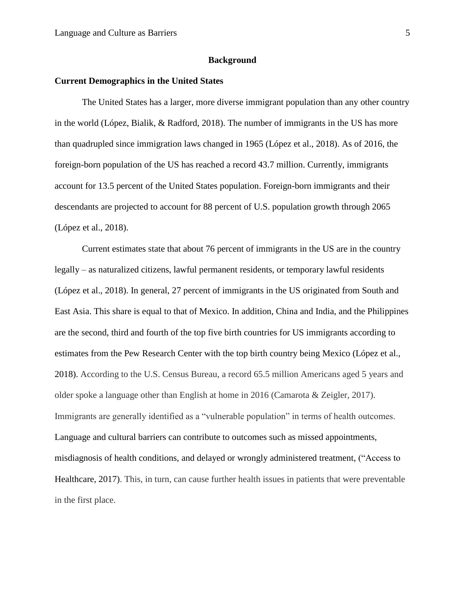#### **Background**

#### <span id="page-5-1"></span><span id="page-5-0"></span>**Current Demographics in the United States**

The United States has a larger, more diverse immigrant population than any other country in the world (López, Bialik, & Radford, 2018). The number of immigrants in the US has more than quadrupled since immigration laws changed in 1965 (López et al., 2018). As of 2016, the foreign-born population of the US has reached a record 43.7 million. Currently, immigrants account for 13.5 percent of the United States population. Foreign-born immigrants and their descendants are projected to account for 88 percent of U.S. population growth through 2065 (López et al., 2018).

Current estimates state that about 76 percent of immigrants in the US are in the country legally – as naturalized citizens, lawful permanent residents, or temporary lawful residents (López et al., 2018). In general, 27 percent of immigrants in the US originated from South and East Asia. This share is equal to that of Mexico. In addition, China and India, and the Philippines are the second, third and fourth of the top five birth countries for US immigrants according to estimates from the Pew Research Center with the top birth country being Mexico (López et al., 2018). According to the U.S. Census Bureau, a record 65.5 million Americans aged 5 years and older spoke a language other than English at home in 2016 (Camarota & Zeigler, 2017). Immigrants are generally identified as a "vulnerable population" in terms of health outcomes. Language and cultural barriers can contribute to outcomes such as missed appointments, misdiagnosis of health conditions, and delayed or wrongly administered treatment, ("Access to Healthcare, 2017). This, in turn, can cause further health issues in patients that were preventable in the first place.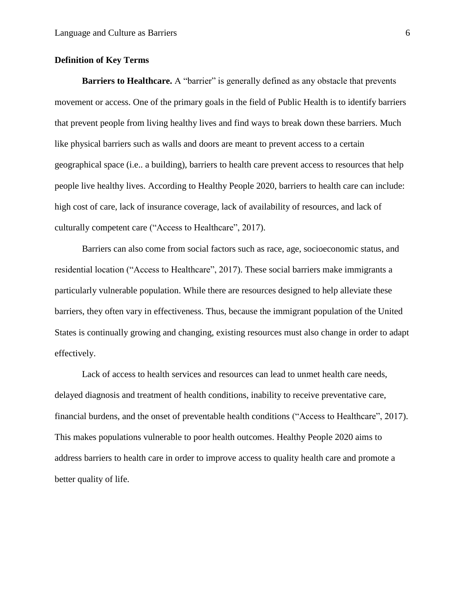#### <span id="page-6-0"></span>**Definition of Key Terms**

<span id="page-6-1"></span>**Barriers to Healthcare.** A "barrier" is generally defined as any obstacle that prevents movement or access. One of the primary goals in the field of Public Health is to identify barriers that prevent people from living healthy lives and find ways to break down these barriers. Much like physical barriers such as walls and doors are meant to prevent access to a certain geographical space (i.e.. a building), barriers to health care prevent access to resources that help people live healthy lives. According to Healthy People 2020, barriers to health care can include: high cost of care, lack of insurance coverage, lack of availability of resources, and lack of culturally competent care ("Access to Healthcare", 2017).

Barriers can also come from social factors such as race, age, socioeconomic status, and residential location ("Access to Healthcare", 2017). These social barriers make immigrants a particularly vulnerable population. While there are resources designed to help alleviate these barriers, they often vary in effectiveness. Thus, because the immigrant population of the United States is continually growing and changing, existing resources must also change in order to adapt effectively.

Lack of access to health services and resources can lead to unmet health care needs, delayed diagnosis and treatment of health conditions, inability to receive preventative care, financial burdens, and the onset of preventable health conditions ("Access to Healthcare", 2017). This makes populations vulnerable to poor health outcomes. Healthy People 2020 aims to address barriers to health care in order to improve access to quality health care and promote a better quality of life.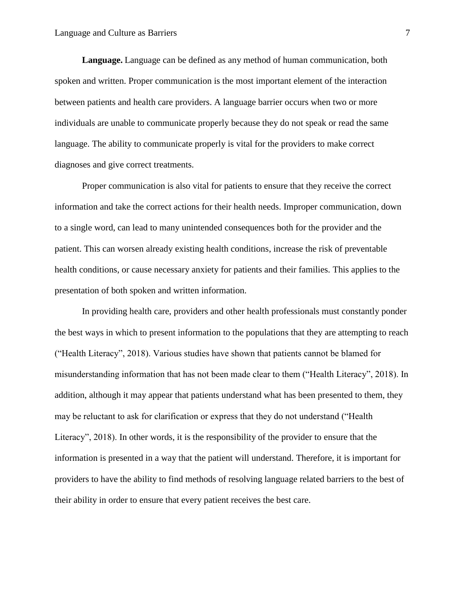<span id="page-7-0"></span>**Language.** Language can be defined as any method of human communication, both spoken and written. Proper communication is the most important element of the interaction between patients and health care providers. A language barrier occurs when two or more individuals are unable to communicate properly because they do not speak or read the same language. The ability to communicate properly is vital for the providers to make correct diagnoses and give correct treatments.

Proper communication is also vital for patients to ensure that they receive the correct information and take the correct actions for their health needs. Improper communication, down to a single word, can lead to many unintended consequences both for the provider and the patient. This can worsen already existing health conditions, increase the risk of preventable health conditions, or cause necessary anxiety for patients and their families. This applies to the presentation of both spoken and written information.

<span id="page-7-1"></span>In providing health care, providers and other health professionals must constantly ponder the best ways in which to present information to the populations that they are attempting to reach ("Health Literacy", 2018). Various studies have shown that patients cannot be blamed for misunderstanding information that has not been made clear to them ("Health Literacy", 2018). In addition, although it may appear that patients understand what has been presented to them, they may be reluctant to ask for clarification or express that they do not understand ("Health Literacy", 2018). In other words, it is the responsibility of the provider to ensure that the information is presented in a way that the patient will understand. Therefore, it is important for providers to have the ability to find methods of resolving language related barriers to the best of their ability in order to ensure that every patient receives the best care.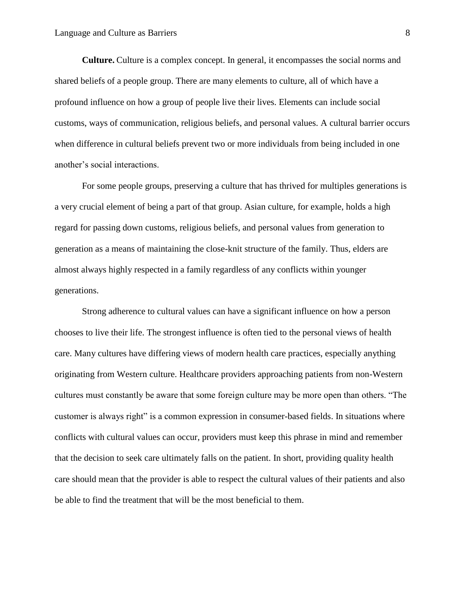**Culture.** Culture is a complex concept. In general, it encompasses the social norms and shared beliefs of a people group. There are many elements to culture, all of which have a profound influence on how a group of people live their lives. Elements can include social customs, ways of communication, religious beliefs, and personal values. A cultural barrier occurs when difference in cultural beliefs prevent two or more individuals from being included in one another's social interactions.

For some people groups, preserving a culture that has thrived for multiples generations is a very crucial element of being a part of that group. Asian culture, for example, holds a high regard for passing down customs, religious beliefs, and personal values from generation to generation as a means of maintaining the close-knit structure of the family. Thus, elders are almost always highly respected in a family regardless of any conflicts within younger generations.

Strong adherence to cultural values can have a significant influence on how a person chooses to live their life. The strongest influence is often tied to the personal views of health care. Many cultures have differing views of modern health care practices, especially anything originating from Western culture. Healthcare providers approaching patients from non-Western cultures must constantly be aware that some foreign culture may be more open than others. "The customer is always right" is a common expression in consumer-based fields. In situations where conflicts with cultural values can occur, providers must keep this phrase in mind and remember that the decision to seek care ultimately falls on the patient. In short, providing quality health care should mean that the provider is able to respect the cultural values of their patients and also be able to find the treatment that will be the most beneficial to them.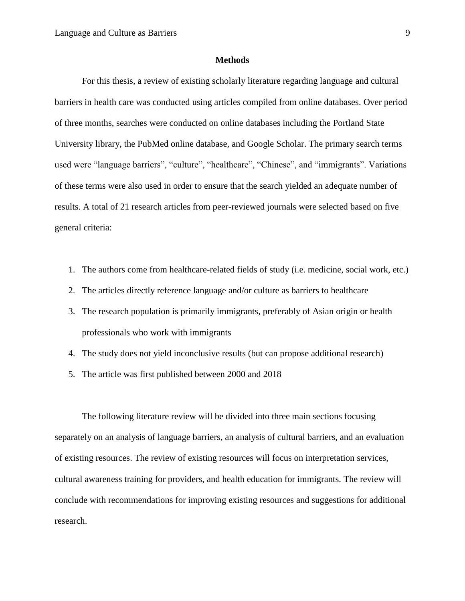#### **Methods**

<span id="page-9-0"></span>For this thesis, a review of existing scholarly literature regarding language and cultural barriers in health care was conducted using articles compiled from online databases. Over period of three months, searches were conducted on online databases including the Portland State University library, the PubMed online database, and Google Scholar. The primary search terms used were "language barriers", "culture", "healthcare", "Chinese", and "immigrants". Variations of these terms were also used in order to ensure that the search yielded an adequate number of results. A total of 21 research articles from peer-reviewed journals were selected based on five general criteria:

- 1. The authors come from healthcare-related fields of study (i.e. medicine, social work, etc.)
- 2. The articles directly reference language and/or culture as barriers to healthcare
- 3. The research population is primarily immigrants, preferably of Asian origin or health professionals who work with immigrants
- 4. The study does not yield inconclusive results (but can propose additional research)
- 5. The article was first published between 2000 and 2018

The following literature review will be divided into three main sections focusing separately on an analysis of language barriers, an analysis of cultural barriers, and an evaluation of existing resources. The review of existing resources will focus on interpretation services, cultural awareness training for providers, and health education for immigrants. The review will conclude with recommendations for improving existing resources and suggestions for additional research.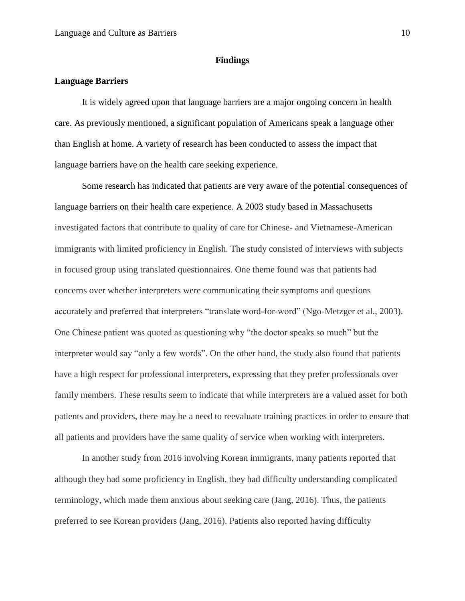#### **Findings**

#### <span id="page-10-1"></span><span id="page-10-0"></span>**Language Barriers**

It is widely agreed upon that language barriers are a major ongoing concern in health care. As previously mentioned, a significant population of Americans speak a language other than English at home. A variety of research has been conducted to assess the impact that language barriers have on the health care seeking experience.

Some research has indicated that patients are very aware of the potential consequences of language barriers on their health care experience. A 2003 study based in Massachusetts investigated factors that contribute to quality of care for Chinese- and Vietnamese-American immigrants with limited proficiency in English. The study consisted of interviews with subjects in focused group using translated questionnaires. One theme found was that patients had concerns over whether interpreters were communicating their symptoms and questions accurately and preferred that interpreters "translate word-for-word" (Ngo-Metzger et al., 2003). One Chinese patient was quoted as questioning why "the doctor speaks so much" but the interpreter would say "only a few words". On the other hand, the study also found that patients have a high respect for professional interpreters, expressing that they prefer professionals over family members. These results seem to indicate that while interpreters are a valued asset for both patients and providers, there may be a need to reevaluate training practices in order to ensure that all patients and providers have the same quality of service when working with interpreters.

In another study from 2016 involving Korean immigrants, many patients reported that although they had some proficiency in English, they had difficulty understanding complicated terminology, which made them anxious about seeking care (Jang, 2016). Thus, the patients preferred to see Korean providers (Jang, 2016). Patients also reported having difficulty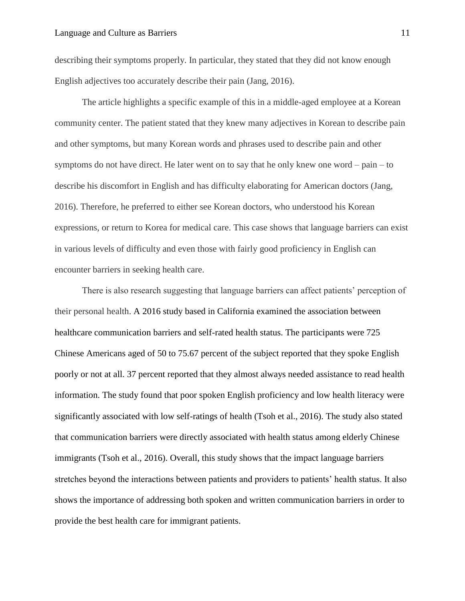describing their symptoms properly. In particular, they stated that they did not know enough English adjectives too accurately describe their pain (Jang, 2016).

The article highlights a specific example of this in a middle-aged employee at a Korean community center. The patient stated that they knew many adjectives in Korean to describe pain and other symptoms, but many Korean words and phrases used to describe pain and other symptoms do not have direct. He later went on to say that he only knew one word – pain – to describe his discomfort in English and has difficulty elaborating for American doctors (Jang, 2016). Therefore, he preferred to either see Korean doctors, who understood his Korean expressions, or return to Korea for medical care. This case shows that language barriers can exist in various levels of difficulty and even those with fairly good proficiency in English can encounter barriers in seeking health care.

There is also research suggesting that language barriers can affect patients' perception of their personal health. A 2016 study based in California examined the association between healthcare communication barriers and self-rated health status. The participants were 725 Chinese Americans aged of 50 to 75.67 percent of the subject reported that they spoke English poorly or not at all. 37 percent reported that they almost always needed assistance to read health information. The study found that poor spoken English proficiency and low health literacy were significantly associated with low self-ratings of health (Tsoh et al., 2016). The study also stated that communication barriers were directly associated with health status among elderly Chinese immigrants (Tsoh et al., 2016). Overall, this study shows that the impact language barriers stretches beyond the interactions between patients and providers to patients' health status. It also shows the importance of addressing both spoken and written communication barriers in order to provide the best health care for immigrant patients.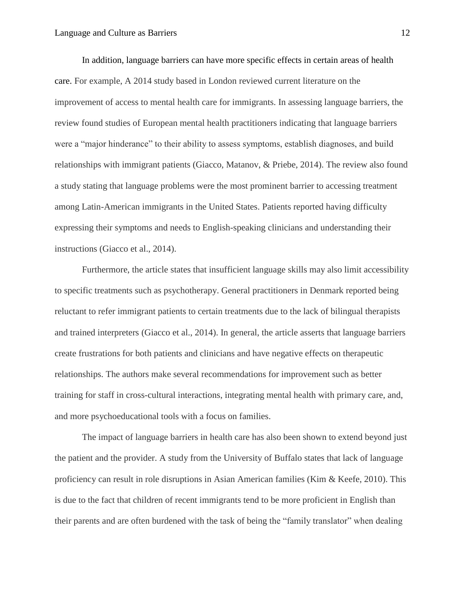In addition, language barriers can have more specific effects in certain areas of health care. For example, A 2014 study based in London reviewed current literature on the improvement of access to mental health care for immigrants. In assessing language barriers, the review found studies of European mental health practitioners indicating that language barriers were a "major hinderance" to their ability to assess symptoms, establish diagnoses, and build relationships with immigrant patients (Giacco, Matanov, & Priebe, 2014). The review also found a study stating that language problems were the most prominent barrier to accessing treatment among Latin-American immigrants in the United States. Patients reported having difficulty expressing their symptoms and needs to English-speaking clinicians and understanding their instructions (Giacco et al., 2014).

Furthermore, the article states that insufficient language skills may also limit accessibility to specific treatments such as psychotherapy. General practitioners in Denmark reported being reluctant to refer immigrant patients to certain treatments due to the lack of bilingual therapists and trained interpreters (Giacco et al., 2014). In general, the article asserts that language barriers create frustrations for both patients and clinicians and have negative effects on therapeutic relationships. The authors make several recommendations for improvement such as better training for staff in cross-cultural interactions, integrating mental health with primary care, and, and more psychoeducational tools with a focus on families.

The impact of language barriers in health care has also been shown to extend beyond just the patient and the provider. A study from the University of Buffalo states that lack of language proficiency can result in role disruptions in Asian American families (Kim & Keefe, 2010). This is due to the fact that children of recent immigrants tend to be more proficient in English than their parents and are often burdened with the task of being the "family translator" when dealing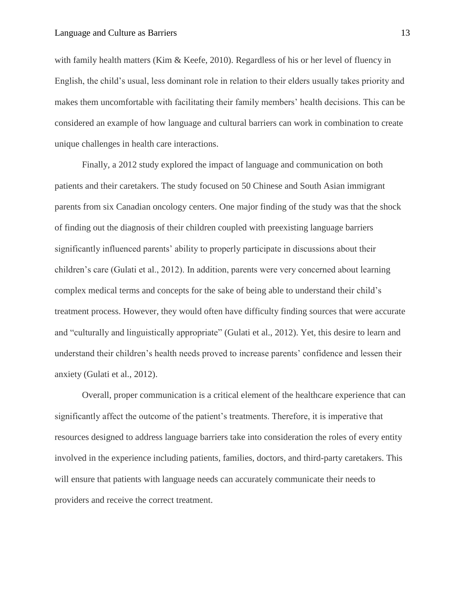with family health matters (Kim & Keefe, 2010). Regardless of his or her level of fluency in English, the child's usual, less dominant role in relation to their elders usually takes priority and makes them uncomfortable with facilitating their family members' health decisions. This can be considered an example of how language and cultural barriers can work in combination to create unique challenges in health care interactions.

Finally, a 2012 study explored the impact of language and communication on both patients and their caretakers. The study focused on 50 Chinese and South Asian immigrant parents from six Canadian oncology centers. One major finding of the study was that the shock of finding out the diagnosis of their children coupled with preexisting language barriers significantly influenced parents' ability to properly participate in discussions about their children's care (Gulati et al., 2012). In addition, parents were very concerned about learning complex medical terms and concepts for the sake of being able to understand their child's treatment process. However, they would often have difficulty finding sources that were accurate and "culturally and linguistically appropriate" (Gulati et al., 2012). Yet, this desire to learn and understand their children's health needs proved to increase parents' confidence and lessen their anxiety (Gulati et al., 2012).

Overall, proper communication is a critical element of the healthcare experience that can significantly affect the outcome of the patient's treatments. Therefore, it is imperative that resources designed to address language barriers take into consideration the roles of every entity involved in the experience including patients, families, doctors, and third-party caretakers. This will ensure that patients with language needs can accurately communicate their needs to providers and receive the correct treatment.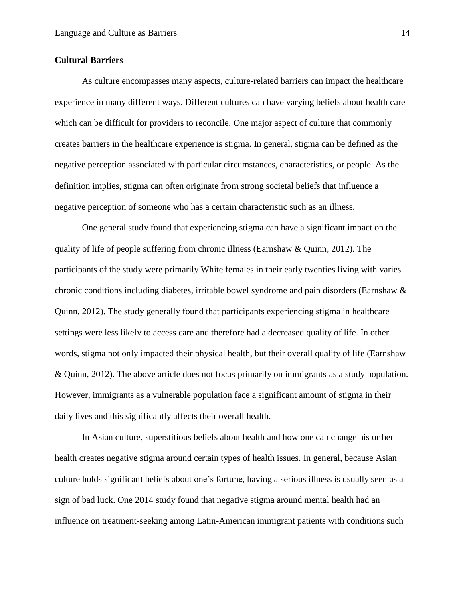#### <span id="page-14-0"></span>**Cultural Barriers**

As culture encompasses many aspects, culture-related barriers can impact the healthcare experience in many different ways. Different cultures can have varying beliefs about health care which can be difficult for providers to reconcile. One major aspect of culture that commonly creates barriers in the healthcare experience is stigma. In general, stigma can be defined as the negative perception associated with particular circumstances, characteristics, or people. As the definition implies, stigma can often originate from strong societal beliefs that influence a negative perception of someone who has a certain characteristic such as an illness.

One general study found that experiencing stigma can have a significant impact on the quality of life of people suffering from chronic illness (Earnshaw & Quinn, 2012). The participants of the study were primarily White females in their early twenties living with varies chronic conditions including diabetes, irritable bowel syndrome and pain disorders (Earnshaw & Quinn, 2012). The study generally found that participants experiencing stigma in healthcare settings were less likely to access care and therefore had a decreased quality of life. In other words, stigma not only impacted their physical health, but their overall quality of life (Earnshaw & Quinn, 2012). The above article does not focus primarily on immigrants as a study population. However, immigrants as a vulnerable population face a significant amount of stigma in their daily lives and this significantly affects their overall health.

In Asian culture, superstitious beliefs about health and how one can change his or her health creates negative stigma around certain types of health issues. In general, because Asian culture holds significant beliefs about one's fortune, having a serious illness is usually seen as a sign of bad luck. One 2014 study found that negative stigma around mental health had an influence on treatment-seeking among Latin-American immigrant patients with conditions such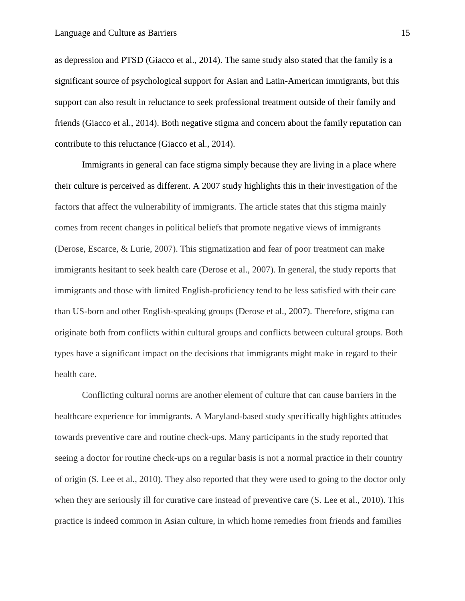as depression and PTSD (Giacco et al., 2014). The same study also stated that the family is a significant source of psychological support for Asian and Latin-American immigrants, but this support can also result in reluctance to seek professional treatment outside of their family and friends (Giacco et al., 2014). Both negative stigma and concern about the family reputation can contribute to this reluctance (Giacco et al., 2014).

Immigrants in general can face stigma simply because they are living in a place where their culture is perceived as different. A 2007 study highlights this in their investigation of the factors that affect the vulnerability of immigrants. The article states that this stigma mainly comes from recent changes in political beliefs that promote negative views of immigrants (Derose, Escarce, & Lurie, 2007). This stigmatization and fear of poor treatment can make immigrants hesitant to seek health care (Derose et al., 2007). In general, the study reports that immigrants and those with limited English-proficiency tend to be less satisfied with their care than US-born and other English-speaking groups (Derose et al., 2007). Therefore, stigma can originate both from conflicts within cultural groups and conflicts between cultural groups. Both types have a significant impact on the decisions that immigrants might make in regard to their health care.

Conflicting cultural norms are another element of culture that can cause barriers in the healthcare experience for immigrants. A Maryland-based study specifically highlights attitudes towards preventive care and routine check-ups. Many participants in the study reported that seeing a doctor for routine check-ups on a regular basis is not a normal practice in their country of origin (S. Lee et al., 2010). They also reported that they were used to going to the doctor only when they are seriously ill for curative care instead of preventive care (S. Lee et al., 2010). This practice is indeed common in Asian culture, in which home remedies from friends and families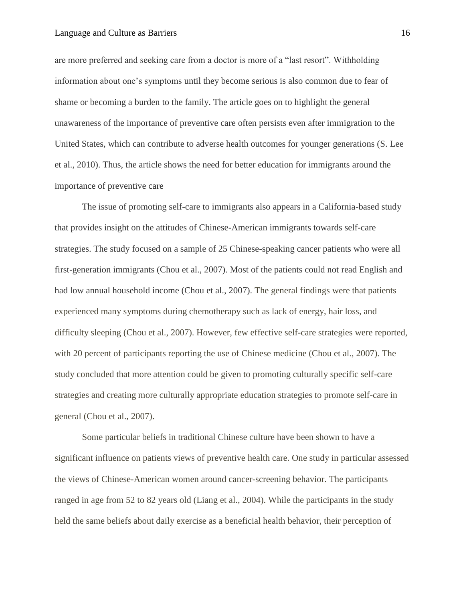are more preferred and seeking care from a doctor is more of a "last resort". Withholding information about one's symptoms until they become serious is also common due to fear of shame or becoming a burden to the family. The article goes on to highlight the general unawareness of the importance of preventive care often persists even after immigration to the United States, which can contribute to adverse health outcomes for younger generations (S. Lee et al., 2010). Thus, the article shows the need for better education for immigrants around the importance of preventive care

The issue of promoting self-care to immigrants also appears in a California-based study that provides insight on the attitudes of Chinese-American immigrants towards self-care strategies. The study focused on a sample of 25 Chinese-speaking cancer patients who were all first-generation immigrants (Chou et al., 2007). Most of the patients could not read English and had low annual household income (Chou et al., 2007). The general findings were that patients experienced many symptoms during chemotherapy such as lack of energy, hair loss, and difficulty sleeping (Chou et al., 2007). However, few effective self-care strategies were reported, with 20 percent of participants reporting the use of Chinese medicine (Chou et al., 2007). The study concluded that more attention could be given to promoting culturally specific self-care strategies and creating more culturally appropriate education strategies to promote self-care in general (Chou et al., 2007).

Some particular beliefs in traditional Chinese culture have been shown to have a significant influence on patients views of preventive health care. One study in particular assessed the views of Chinese-American women around cancer-screening behavior. The participants ranged in age from 52 to 82 years old (Liang et al., 2004). While the participants in the study held the same beliefs about daily exercise as a beneficial health behavior, their perception of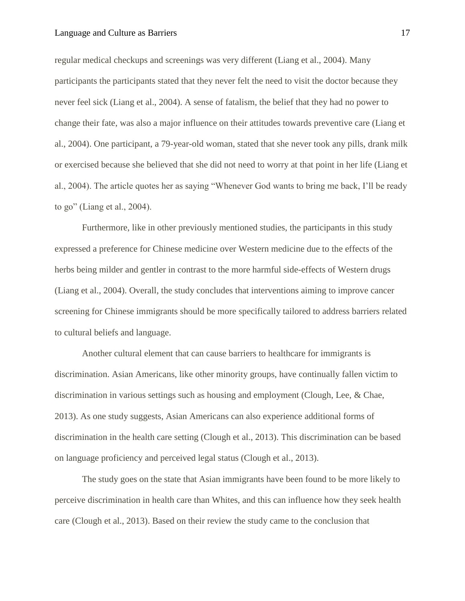regular medical checkups and screenings was very different (Liang et al., 2004). Many participants the participants stated that they never felt the need to visit the doctor because they never feel sick (Liang et al., 2004). A sense of fatalism, the belief that they had no power to change their fate, was also a major influence on their attitudes towards preventive care (Liang et al., 2004). One participant, a 79-year-old woman, stated that she never took any pills, drank milk or exercised because she believed that she did not need to worry at that point in her life (Liang et al., 2004). The article quotes her as saying "Whenever God wants to bring me back, I'll be ready to go" (Liang et al., 2004).

Furthermore, like in other previously mentioned studies, the participants in this study expressed a preference for Chinese medicine over Western medicine due to the effects of the herbs being milder and gentler in contrast to the more harmful side-effects of Western drugs (Liang et al., 2004). Overall, the study concludes that interventions aiming to improve cancer screening for Chinese immigrants should be more specifically tailored to address barriers related to cultural beliefs and language.

Another cultural element that can cause barriers to healthcare for immigrants is discrimination. Asian Americans, like other minority groups, have continually fallen victim to discrimination in various settings such as housing and employment (Clough, Lee, & Chae, 2013). As one study suggests, Asian Americans can also experience additional forms of discrimination in the health care setting (Clough et al., 2013). This discrimination can be based on language proficiency and perceived legal status (Clough et al., 2013).

The study goes on the state that Asian immigrants have been found to be more likely to perceive discrimination in health care than Whites, and this can influence how they seek health care (Clough et al., 2013). Based on their review the study came to the conclusion that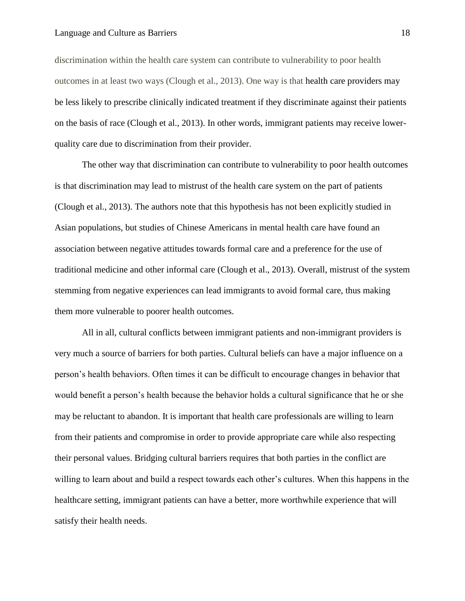discrimination within the health care system can contribute to vulnerability to poor health outcomes in at least two ways (Clough et al., 2013). One way is that health care providers may be less likely to prescribe clinically indicated treatment if they discriminate against their patients on the basis of race (Clough et al., 2013). In other words, immigrant patients may receive lowerquality care due to discrimination from their provider.

The other way that discrimination can contribute to vulnerability to poor health outcomes is that discrimination may lead to mistrust of the health care system on the part of patients (Clough et al., 2013). The authors note that this hypothesis has not been explicitly studied in Asian populations, but studies of Chinese Americans in mental health care have found an association between negative attitudes towards formal care and a preference for the use of traditional medicine and other informal care (Clough et al., 2013). Overall, mistrust of the system stemming from negative experiences can lead immigrants to avoid formal care, thus making them more vulnerable to poorer health outcomes.

All in all, cultural conflicts between immigrant patients and non-immigrant providers is very much a source of barriers for both parties. Cultural beliefs can have a major influence on a person's health behaviors. Often times it can be difficult to encourage changes in behavior that would benefit a person's health because the behavior holds a cultural significance that he or she may be reluctant to abandon. It is important that health care professionals are willing to learn from their patients and compromise in order to provide appropriate care while also respecting their personal values. Bridging cultural barriers requires that both parties in the conflict are willing to learn about and build a respect towards each other's cultures. When this happens in the healthcare setting, immigrant patients can have a better, more worthwhile experience that will satisfy their health needs.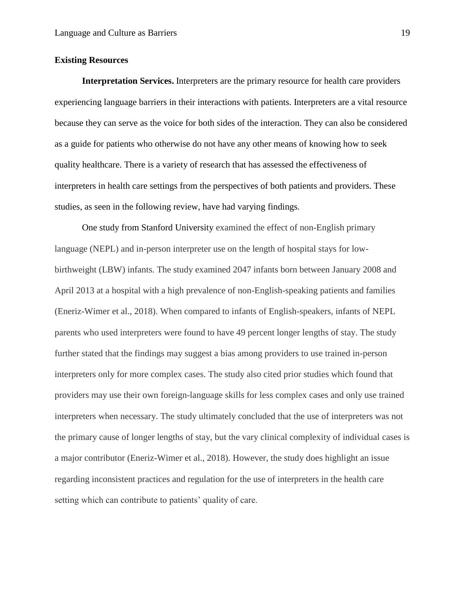#### <span id="page-19-0"></span>**Existing Resources**

<span id="page-19-1"></span>**Interpretation Services.** Interpreters are the primary resource for health care providers experiencing language barriers in their interactions with patients. Interpreters are a vital resource because they can serve as the voice for both sides of the interaction. They can also be considered as a guide for patients who otherwise do not have any other means of knowing how to seek quality healthcare. There is a variety of research that has assessed the effectiveness of interpreters in health care settings from the perspectives of both patients and providers. These studies, as seen in the following review, have had varying findings.

One study from Stanford University examined the effect of non-English primary language (NEPL) and in-person interpreter use on the length of hospital stays for lowbirthweight (LBW) infants. The study examined 2047 infants born between January 2008 and April 2013 at a hospital with a high prevalence of non-English-speaking patients and families (Eneriz-Wimer et al., 2018). When compared to infants of English-speakers, infants of NEPL parents who used interpreters were found to have 49 percent longer lengths of stay. The study further stated that the findings may suggest a bias among providers to use trained in-person interpreters only for more complex cases. The study also cited prior studies which found that providers may use their own foreign-language skills for less complex cases and only use trained interpreters when necessary. The study ultimately concluded that the use of interpreters was not the primary cause of longer lengths of stay, but the vary clinical complexity of individual cases is a major contributor (Eneriz-Wimer et al., 2018). However, the study does highlight an issue regarding inconsistent practices and regulation for the use of interpreters in the health care setting which can contribute to patients' quality of care.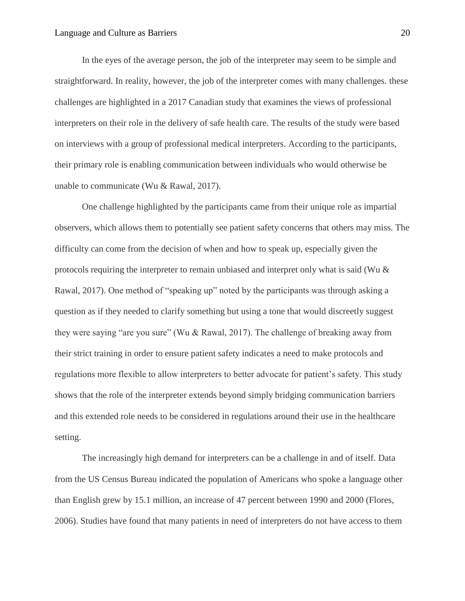In the eyes of the average person, the job of the interpreter may seem to be simple and straightforward. In reality, however, the job of the interpreter comes with many challenges. these challenges are highlighted in a 2017 Canadian study that examines the views of professional interpreters on their role in the delivery of safe health care. The results of the study were based on interviews with a group of professional medical interpreters. According to the participants, their primary role is enabling communication between individuals who would otherwise be unable to communicate (Wu & Rawal, 2017).

One challenge highlighted by the participants came from their unique role as impartial observers, which allows them to potentially see patient safety concerns that others may miss. The difficulty can come from the decision of when and how to speak up, especially given the protocols requiring the interpreter to remain unbiased and interpret only what is said (Wu & Rawal, 2017). One method of "speaking up" noted by the participants was through asking a question as if they needed to clarify something but using a tone that would discreetly suggest they were saying "are you sure" (Wu & Rawal, 2017). The challenge of breaking away from their strict training in order to ensure patient safety indicates a need to make protocols and regulations more flexible to allow interpreters to better advocate for patient's safety. This study shows that the role of the interpreter extends beyond simply bridging communication barriers and this extended role needs to be considered in regulations around their use in the healthcare setting.

The increasingly high demand for interpreters can be a challenge in and of itself. Data from the US Census Bureau indicated the population of Americans who spoke a language other than English grew by 15.1 million, an increase of 47 percent between 1990 and 2000 (Flores, 2006). Studies have found that many patients in need of interpreters do not have access to them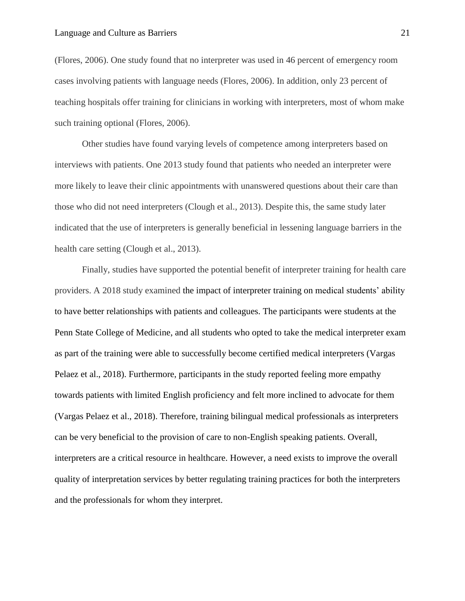(Flores, 2006). One study found that no interpreter was used in 46 percent of emergency room cases involving patients with language needs (Flores, 2006). In addition, only 23 percent of teaching hospitals offer training for clinicians in working with interpreters, most of whom make such training optional (Flores, 2006).

Other studies have found varying levels of competence among interpreters based on interviews with patients. One 2013 study found that patients who needed an interpreter were more likely to leave their clinic appointments with unanswered questions about their care than those who did not need interpreters (Clough et al., 2013). Despite this, the same study later indicated that the use of interpreters is generally beneficial in lessening language barriers in the health care setting (Clough et al., 2013).

Finally, studies have supported the potential benefit of interpreter training for health care providers. A 2018 study examined the impact of interpreter training on medical students' ability to have better relationships with patients and colleagues. The participants were students at the Penn State College of Medicine, and all students who opted to take the medical interpreter exam as part of the training were able to successfully become certified medical interpreters (Vargas Pelaez et al., 2018). Furthermore, participants in the study reported feeling more empathy towards patients with limited English proficiency and felt more inclined to advocate for them (Vargas Pelaez et al., 2018). Therefore, training bilingual medical professionals as interpreters can be very beneficial to the provision of care to non-English speaking patients. Overall, interpreters are a critical resource in healthcare. However, a need exists to improve the overall quality of interpretation services by better regulating training practices for both the interpreters and the professionals for whom they interpret.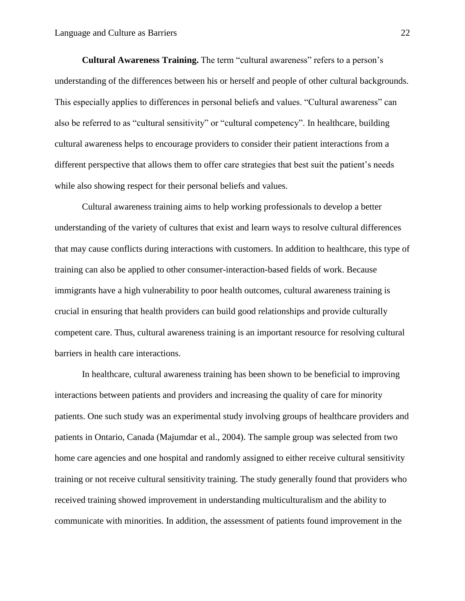<span id="page-22-0"></span>**Cultural Awareness Training.** The term "cultural awareness" refers to a person's understanding of the differences between his or herself and people of other cultural backgrounds. This especially applies to differences in personal beliefs and values. "Cultural awareness" can also be referred to as "cultural sensitivity" or "cultural competency". In healthcare, building cultural awareness helps to encourage providers to consider their patient interactions from a different perspective that allows them to offer care strategies that best suit the patient's needs while also showing respect for their personal beliefs and values.

Cultural awareness training aims to help working professionals to develop a better understanding of the variety of cultures that exist and learn ways to resolve cultural differences that may cause conflicts during interactions with customers. In addition to healthcare, this type of training can also be applied to other consumer-interaction-based fields of work. Because immigrants have a high vulnerability to poor health outcomes, cultural awareness training is crucial in ensuring that health providers can build good relationships and provide culturally competent care. Thus, cultural awareness training is an important resource for resolving cultural barriers in health care interactions.

In healthcare, cultural awareness training has been shown to be beneficial to improving interactions between patients and providers and increasing the quality of care for minority patients. One such study was an experimental study involving groups of healthcare providers and patients in Ontario, Canada (Majumdar et al., 2004). The sample group was selected from two home care agencies and one hospital and randomly assigned to either receive cultural sensitivity training or not receive cultural sensitivity training. The study generally found that providers who received training showed improvement in understanding multiculturalism and the ability to communicate with minorities. In addition, the assessment of patients found improvement in the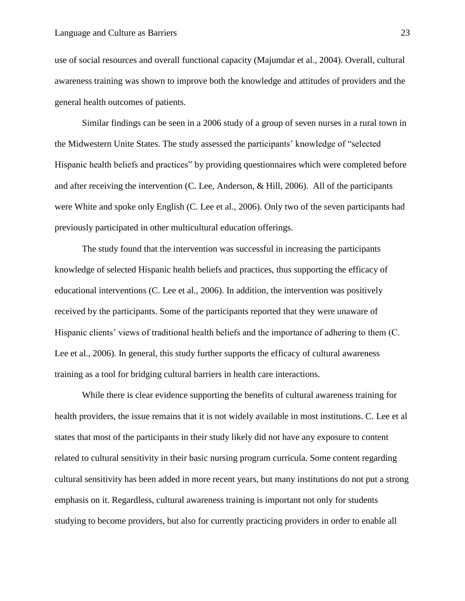use of social resources and overall functional capacity (Majumdar et al., 2004). Overall, cultural awareness training was shown to improve both the knowledge and attitudes of providers and the general health outcomes of patients.

Similar findings can be seen in a 2006 study of a group of seven nurses in a rural town in the Midwestern Unite States. The study assessed the participants' knowledge of "selected Hispanic health beliefs and practices" by providing questionnaires which were completed before and after receiving the intervention (C. Lee, Anderson, & Hill, 2006). All of the participants were White and spoke only English (C. Lee et al., 2006). Only two of the seven participants had previously participated in other multicultural education offerings.

The study found that the intervention was successful in increasing the participants knowledge of selected Hispanic health beliefs and practices, thus supporting the efficacy of educational interventions (C. Lee et al., 2006). In addition, the intervention was positively received by the participants. Some of the participants reported that they were unaware of Hispanic clients' views of traditional health beliefs and the importance of adhering to them (C. Lee et al., 2006). In general, this study further supports the efficacy of cultural awareness training as a tool for bridging cultural barriers in health care interactions.

While there is clear evidence supporting the benefits of cultural awareness training for health providers, the issue remains that it is not widely available in most institutions. C. Lee et al states that most of the participants in their study likely did not have any exposure to content related to cultural sensitivity in their basic nursing program curricula. Some content regarding cultural sensitivity has been added in more recent years, but many institutions do not put a strong emphasis on it. Regardless, cultural awareness training is important not only for students studying to become providers, but also for currently practicing providers in order to enable all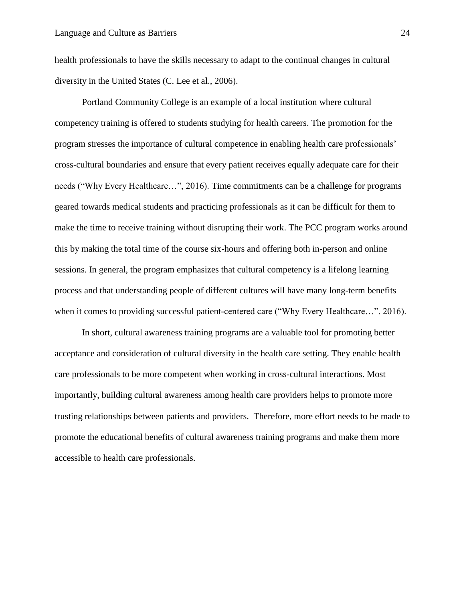health professionals to have the skills necessary to adapt to the continual changes in cultural diversity in the United States (C. Lee et al., 2006).

Portland Community College is an example of a local institution where cultural competency training is offered to students studying for health careers. The promotion for the program stresses the importance of cultural competence in enabling health care professionals' cross-cultural boundaries and ensure that every patient receives equally adequate care for their needs ("Why Every Healthcare…", 2016). Time commitments can be a challenge for programs geared towards medical students and practicing professionals as it can be difficult for them to make the time to receive training without disrupting their work. The PCC program works around this by making the total time of the course six-hours and offering both in-person and online sessions. In general, the program emphasizes that cultural competency is a lifelong learning process and that understanding people of different cultures will have many long-term benefits when it comes to providing successful patient-centered care ("Why Every Healthcare...". 2016).

<span id="page-24-0"></span>In short, cultural awareness training programs are a valuable tool for promoting better acceptance and consideration of cultural diversity in the health care setting. They enable health care professionals to be more competent when working in cross-cultural interactions. Most importantly, building cultural awareness among health care providers helps to promote more trusting relationships between patients and providers. Therefore, more effort needs to be made to promote the educational benefits of cultural awareness training programs and make them more accessible to health care professionals.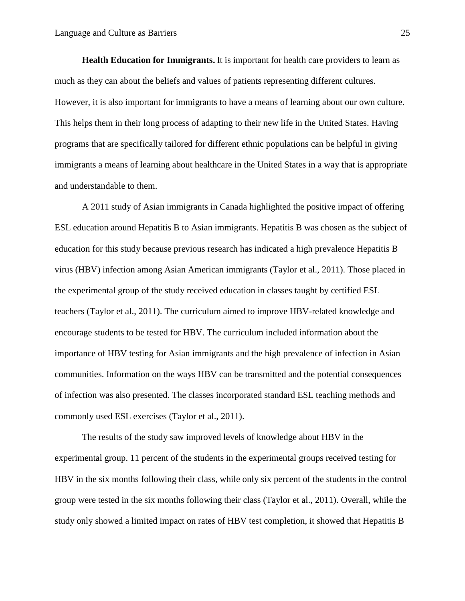**Health Education for Immigrants.** It is important for health care providers to learn as much as they can about the beliefs and values of patients representing different cultures. However, it is also important for immigrants to have a means of learning about our own culture. This helps them in their long process of adapting to their new life in the United States. Having programs that are specifically tailored for different ethnic populations can be helpful in giving immigrants a means of learning about healthcare in the United States in a way that is appropriate and understandable to them.

A 2011 study of Asian immigrants in Canada highlighted the positive impact of offering ESL education around Hepatitis B to Asian immigrants. Hepatitis B was chosen as the subject of education for this study because previous research has indicated a high prevalence Hepatitis B virus (HBV) infection among Asian American immigrants (Taylor et al., 2011). Those placed in the experimental group of the study received education in classes taught by certified ESL teachers (Taylor et al., 2011). The curriculum aimed to improve HBV-related knowledge and encourage students to be tested for HBV. The curriculum included information about the importance of HBV testing for Asian immigrants and the high prevalence of infection in Asian communities. Information on the ways HBV can be transmitted and the potential consequences of infection was also presented. The classes incorporated standard ESL teaching methods and commonly used ESL exercises (Taylor et al., 2011).

The results of the study saw improved levels of knowledge about HBV in the experimental group. 11 percent of the students in the experimental groups received testing for HBV in the six months following their class, while only six percent of the students in the control group were tested in the six months following their class (Taylor et al., 2011). Overall, while the study only showed a limited impact on rates of HBV test completion, it showed that Hepatitis B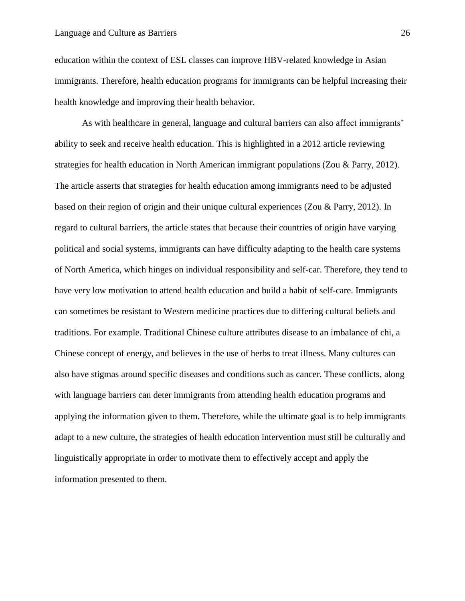education within the context of ESL classes can improve HBV-related knowledge in Asian immigrants. Therefore, health education programs for immigrants can be helpful increasing their health knowledge and improving their health behavior.

As with healthcare in general, language and cultural barriers can also affect immigrants' ability to seek and receive health education. This is highlighted in a 2012 article reviewing strategies for health education in North American immigrant populations (Zou & Parry, 2012). The article asserts that strategies for health education among immigrants need to be adjusted based on their region of origin and their unique cultural experiences (Zou & Parry, 2012). In regard to cultural barriers, the article states that because their countries of origin have varying political and social systems, immigrants can have difficulty adapting to the health care systems of North America, which hinges on individual responsibility and self-car. Therefore, they tend to have very low motivation to attend health education and build a habit of self-care. Immigrants can sometimes be resistant to Western medicine practices due to differing cultural beliefs and traditions. For example. Traditional Chinese culture attributes disease to an imbalance of chi, a Chinese concept of energy, and believes in the use of herbs to treat illness. Many cultures can also have stigmas around specific diseases and conditions such as cancer. These conflicts, along with language barriers can deter immigrants from attending health education programs and applying the information given to them. Therefore, while the ultimate goal is to help immigrants adapt to a new culture, the strategies of health education intervention must still be culturally and linguistically appropriate in order to motivate them to effectively accept and apply the information presented to them.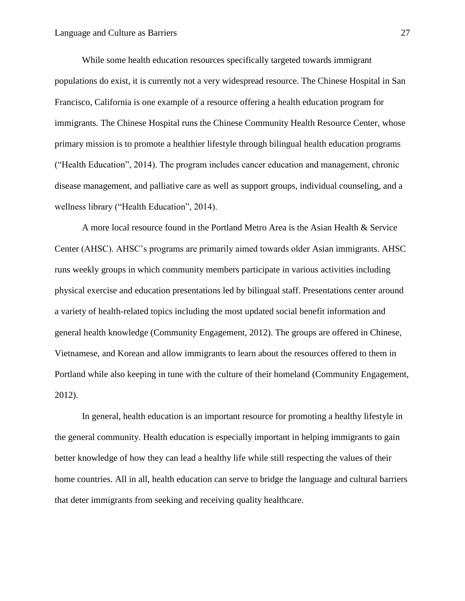While some health education resources specifically targeted towards immigrant populations do exist, it is currently not a very widespread resource. The Chinese Hospital in San Francisco, California is one example of a resource offering a health education program for immigrants. The Chinese Hospital runs the Chinese Community Health Resource Center, whose primary mission is to promote a healthier lifestyle through bilingual health education programs ("Health Education", 2014). The program includes cancer education and management, chronic disease management, and palliative care as well as support groups, individual counseling, and a wellness library ("Health Education", 2014).

A more local resource found in the Portland Metro Area is the Asian Health & Service Center (AHSC). AHSC's programs are primarily aimed towards older Asian immigrants. AHSC runs weekly groups in which community members participate in various activities including physical exercise and education presentations led by bilingual staff. Presentations center around a variety of health-related topics including the most updated social benefit information and general health knowledge (Community Engagement, 2012). The groups are offered in Chinese, Vietnamese, and Korean and allow immigrants to learn about the resources offered to them in Portland while also keeping in tune with the culture of their homeland (Community Engagement, 2012).

In general, health education is an important resource for promoting a healthy lifestyle in the general community. Health education is especially important in helping immigrants to gain better knowledge of how they can lead a healthy life while still respecting the values of their home countries. All in all, health education can serve to bridge the language and cultural barriers that deter immigrants from seeking and receiving quality healthcare.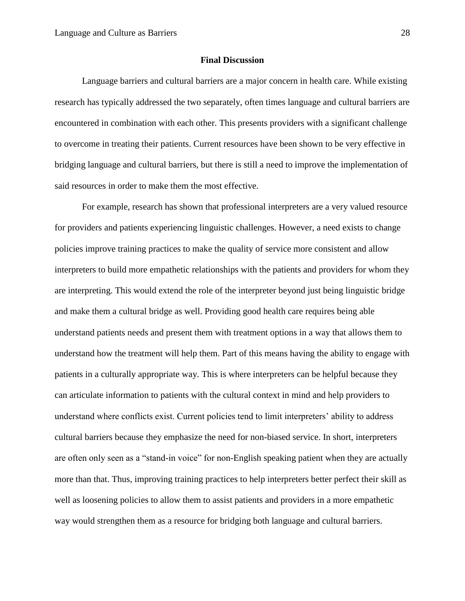#### **Final Discussion**

<span id="page-28-0"></span>Language barriers and cultural barriers are a major concern in health care. While existing research has typically addressed the two separately, often times language and cultural barriers are encountered in combination with each other. This presents providers with a significant challenge to overcome in treating their patients. Current resources have been shown to be very effective in bridging language and cultural barriers, but there is still a need to improve the implementation of said resources in order to make them the most effective.

For example, research has shown that professional interpreters are a very valued resource for providers and patients experiencing linguistic challenges. However, a need exists to change policies improve training practices to make the quality of service more consistent and allow interpreters to build more empathetic relationships with the patients and providers for whom they are interpreting. This would extend the role of the interpreter beyond just being linguistic bridge and make them a cultural bridge as well. Providing good health care requires being able understand patients needs and present them with treatment options in a way that allows them to understand how the treatment will help them. Part of this means having the ability to engage with patients in a culturally appropriate way. This is where interpreters can be helpful because they can articulate information to patients with the cultural context in mind and help providers to understand where conflicts exist. Current policies tend to limit interpreters' ability to address cultural barriers because they emphasize the need for non-biased service. In short, interpreters are often only seen as a "stand-in voice" for non-English speaking patient when they are actually more than that. Thus, improving training practices to help interpreters better perfect their skill as well as loosening policies to allow them to assist patients and providers in a more empathetic way would strengthen them as a resource for bridging both language and cultural barriers.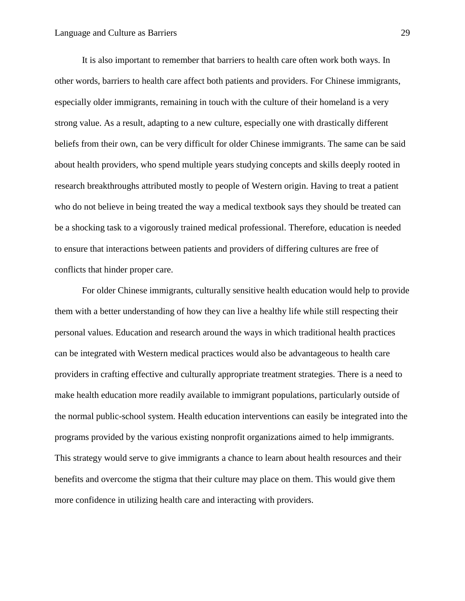It is also important to remember that barriers to health care often work both ways. In other words, barriers to health care affect both patients and providers. For Chinese immigrants, especially older immigrants, remaining in touch with the culture of their homeland is a very strong value. As a result, adapting to a new culture, especially one with drastically different beliefs from their own, can be very difficult for older Chinese immigrants. The same can be said about health providers, who spend multiple years studying concepts and skills deeply rooted in research breakthroughs attributed mostly to people of Western origin. Having to treat a patient who do not believe in being treated the way a medical textbook says they should be treated can be a shocking task to a vigorously trained medical professional. Therefore, education is needed to ensure that interactions between patients and providers of differing cultures are free of conflicts that hinder proper care.

For older Chinese immigrants, culturally sensitive health education would help to provide them with a better understanding of how they can live a healthy life while still respecting their personal values. Education and research around the ways in which traditional health practices can be integrated with Western medical practices would also be advantageous to health care providers in crafting effective and culturally appropriate treatment strategies. There is a need to make health education more readily available to immigrant populations, particularly outside of the normal public-school system. Health education interventions can easily be integrated into the programs provided by the various existing nonprofit organizations aimed to help immigrants. This strategy would serve to give immigrants a chance to learn about health resources and their benefits and overcome the stigma that their culture may place on them. This would give them more confidence in utilizing health care and interacting with providers.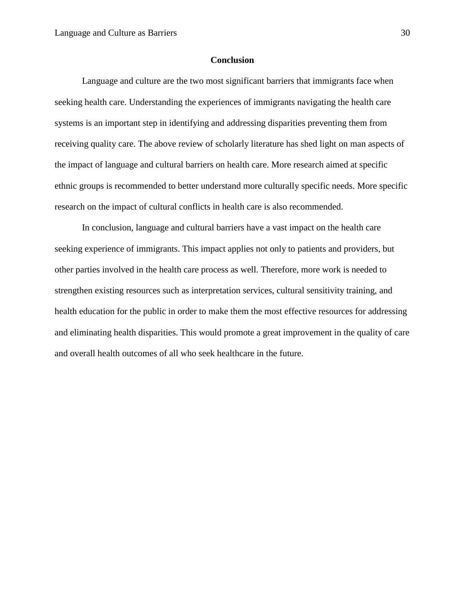#### **Conclusion**

<span id="page-30-0"></span>Language and culture are the two most significant barriers that immigrants face when seeking health care. Understanding the experiences of immigrants navigating the health care systems is an important step in identifying and addressing disparities preventing them from receiving quality care. The above review of scholarly literature has shed light on man aspects of the impact of language and cultural barriers on health care. More research aimed at specific ethnic groups is recommended to better understand more culturally specific needs. More specific research on the impact of cultural conflicts in health care is also recommended.

In conclusion, language and cultural barriers have a vast impact on the health care seeking experience of immigrants. This impact applies not only to patients and providers, but other parties involved in the health care process as well. Therefore, more work is needed to strengthen existing resources such as interpretation services, cultural sensitivity training, and health education for the public in order to make them the most effective resources for addressing and eliminating health disparities. This would promote a great improvement in the quality of care and overall health outcomes of all who seek healthcare in the future.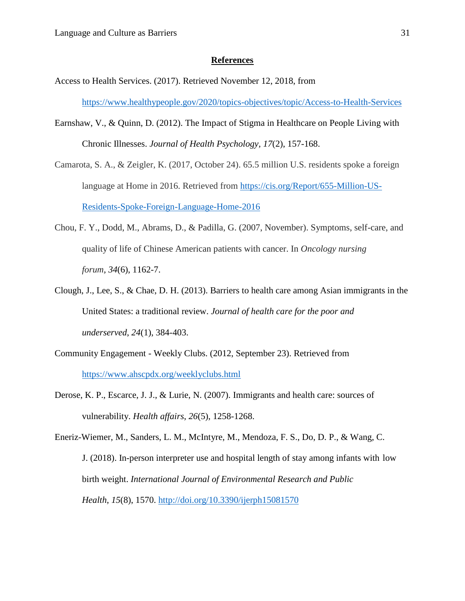#### **References**

- <span id="page-31-0"></span>Access to Health Services. (2017). Retrieved November 12, 2018, from <https://www.healthypeople.gov/2020/topics-objectives/topic/Access-to-Health-Services>
- Earnshaw, V., & Quinn, D. (2012). The Impact of Stigma in Healthcare on People Living with Chronic Illnesses. *Journal of Health Psychology, 17*(2), 157-168.
- Camarota, S. A., & Zeigler, K. (2017, October 24). 65.5 million U.S. residents spoke a foreign language at Home in 2016. Retrieved from [https://cis.org/Report/655-Million-US-](https://cis.org/Report/655-Million-US-%09Residents-Spoke-Foreign-Language-Home-2016)[Residents-Spoke-Foreign-Language-Home-2016](https://cis.org/Report/655-Million-US-%09Residents-Spoke-Foreign-Language-Home-2016)
- Chou, F. Y., Dodd, M., Abrams, D., & Padilla, G. (2007, November). Symptoms, self-care, and quality of life of Chinese American patients with cancer. In *Oncology nursing forum, 34*(6), 1162-7.
- Clough, J., Lee, S., & Chae, D. H. (2013). Barriers to health care among Asian immigrants in the United States: a traditional review. *Journal of health care for the poor and underserved*, *24*(1), 384-403.
- Community Engagement Weekly Clubs. (2012, September 23). Retrieved from <https://www.ahscpdx.org/weeklyclubs.html>
- Derose, K. P., Escarce, J. J., & Lurie, N. (2007). Immigrants and health care: sources of vulnerability. *Health affairs*, *26*(5), 1258-1268.
- Eneriz-Wiemer, M., Sanders, L. M., McIntyre, M., Mendoza, F. S., Do, D. P., & Wang, C. J. (2018). In-person interpreter use and hospital length of stay among infants with low birth weight. *International Journal of Environmental Research and Public Health*, *15*(8), 1570.<http://doi.org/10.3390/ijerph15081570>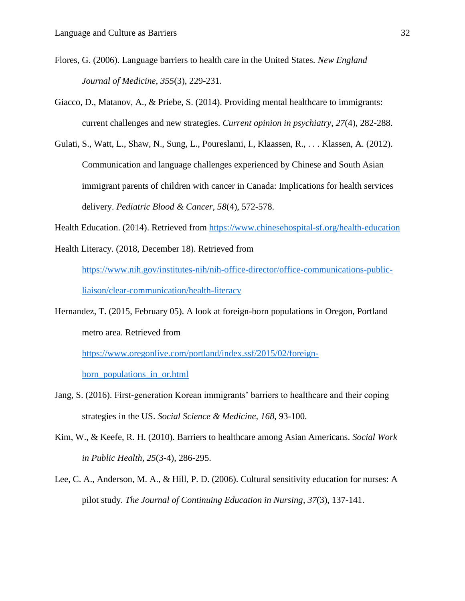- Flores, G. (2006). Language barriers to health care in the United States. *New England Journal of Medicine*, *355*(3), 229-231.
- Giacco, D., Matanov, A., & Priebe, S. (2014). Providing mental healthcare to immigrants: current challenges and new strategies. *Current opinion in psychiatry*, *27*(4), 282-288.
- Gulati, S., Watt, L., Shaw, N., Sung, L., Poureslami, I., Klaassen, R., . . . Klassen, A. (2012). Communication and language challenges experienced by Chinese and South Asian immigrant parents of children with cancer in Canada: Implications for health services delivery. *Pediatric Blood & Cancer, 58*(4), 572-578.
- Health Education. (2014). Retrieved from<https://www.chinesehospital-sf.org/health-education>

Health Literacy. (2018, December 18). Retrieved from [https://www.nih.gov/institutes-nih/nih-office-director/office-communications-public](https://www.nih.gov/institutes-nih/nih-office-director/office-communications-public-%09liaison/clear-communication/health-literacy)[liaison/clear-communication/health-literacy](https://www.nih.gov/institutes-nih/nih-office-director/office-communications-public-%09liaison/clear-communication/health-literacy)

Hernandez, T. (2015, February 05). A look at foreign-born populations in Oregon, Portland metro area. Retrieved from

[https://www.oregonlive.com/portland/index.ssf/2015/02/foreign-](https://www.oregonlive.com/portland/index.ssf/2015/02/foreign-%09born_populations_in_or.html)

born populations in or.html

- Jang, S. (2016). First-generation Korean immigrants' barriers to healthcare and their coping strategies in the US. *Social Science & Medicine, 168*, 93-100.
- Kim, W., & Keefe, R. H. (2010). Barriers to healthcare among Asian Americans. *Social Work in Public Health*, *25*(3-4), 286-295.
- Lee, C. A., Anderson, M. A., & Hill, P. D. (2006). Cultural sensitivity education for nurses: A pilot study. *The Journal of Continuing Education in Nursing*, *37*(3), 137-141.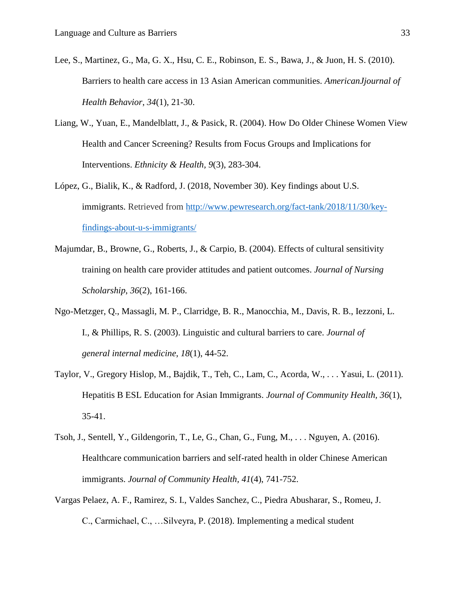- Lee, S., Martinez, G., Ma, G. X., Hsu, C. E., Robinson, E. S., Bawa, J., & Juon, H. S. (2010). Barriers to health care access in 13 Asian American communities. *AmericanJjournal of Health Behavior*, *34*(1), 21-30.
- Liang, W., Yuan, E., Mandelblatt, J., & Pasick, R. (2004). How Do Older Chinese Women View Health and Cancer Screening? Results from Focus Groups and Implications for Interventions. *Ethnicity & Health, 9*(3), 283-304.
- López, G., Bialik, K., & Radford, J. (2018, November 30). Key findings about U.S. immigrants. Retrieved from [http://www.pewresearch.org/fact-tank/2018/11/30/key](http://www.pewresearch.org/fact-tank/2018/11/30/key-%09findings-about-u-s-immigrants/)[findings-about-u-s-immigrants/](http://www.pewresearch.org/fact-tank/2018/11/30/key-%09findings-about-u-s-immigrants/)
- Majumdar, B., Browne, G., Roberts, J., & Carpio, B. (2004). Effects of cultural sensitivity training on health care provider attitudes and patient outcomes. *Journal of Nursing Scholarship*, *36*(2), 161-166.
- Ngo-Metzger, Q., Massagli, M. P., Clarridge, B. R., Manocchia, M., Davis, R. B., Iezzoni, L. I., & Phillips, R. S. (2003). Linguistic and cultural barriers to care. *Journal of general internal medicine*, *18*(1), 44-52.
- Taylor, V., Gregory Hislop, M., Bajdik, T., Teh, C., Lam, C., Acorda, W., . . . Yasui, L. (2011). Hepatitis B ESL Education for Asian Immigrants. *Journal of Community Health, 36*(1), 35-41.
- Tsoh, J., Sentell, Y., Gildengorin, T., Le, G., Chan, G., Fung, M., . . . Nguyen, A. (2016). Healthcare communication barriers and self-rated health in older Chinese American immigrants. *Journal of Community Health, 41*(4), 741-752.
- Vargas Pelaez, A. F., Ramirez, S. I., Valdes Sanchez, C., Piedra Abusharar, S., Romeu, J. C., Carmichael, C., …Silveyra, P. (2018). Implementing a medical student